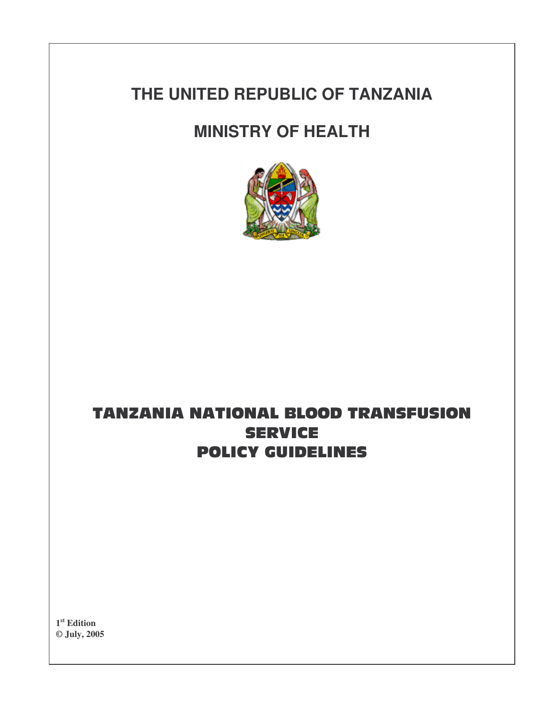# **THE UNITED REPUBLIC OF TANZANIA**

# **MINISTRY OF HEALTH**



## TANZANIA NATIONAL BLOOD TRANSFUSIOI **SERVICE POLICY GUIDELINES**

**1 st Edition © July, 2005**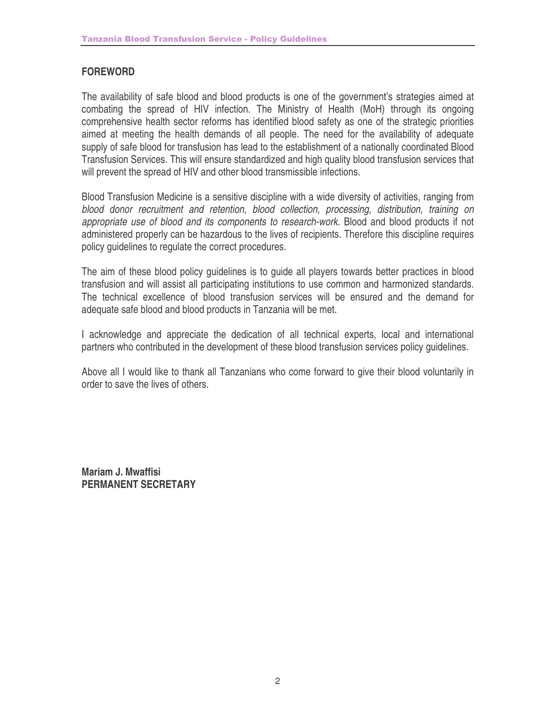#### **FOREWORD**

The availability of safe blood and blood products is one of the government's strategies aimed at combating the spread of HIV infection. The Ministry of Health (MoH) through its ongoing comprehensive health sector reforms has identified blood safety as one of the strategic priorities aimed at meeting the health demands of all people. The need for the availability of adequate supply of safe blood for transfusion has lead to the establishment of a nationally coordinated Blood Transfusion Services. This will ensure standardized and high quality blood transfusion services that will prevent the spread of HIV and other blood transmissible infections.

Blood Transfusion Medicine is a sensitive discipline with a wide diversity of activities, ranging from *blood donor recruitment and retention, blood collection, processing, distribution, training on appropriate use of blood and its components to research-work.* Blood and blood products if not administered properly can be hazardous to the lives of recipients. Therefore this discipline requires policy guidelines to regulate the correct procedures.

The aim of these blood policy guidelines is to guide all players towards better practices in blood transfusion and will assist all participating institutions to use common and harmonized standards. The technical excellence of blood transfusion services will be ensured and the demand for adequate safe blood and blood products in Tanzania will be met.

I acknowledge and appreciate the dedication of all technical experts, local and international partners who contributed in the development of these blood transfusion services policy guidelines.

Above all I would like to thank all Tanzanians who come forward to give their blood voluntarily in order to save the lives of others.

**Mariam J. Mwaffisi PERMANENT SECRETARY**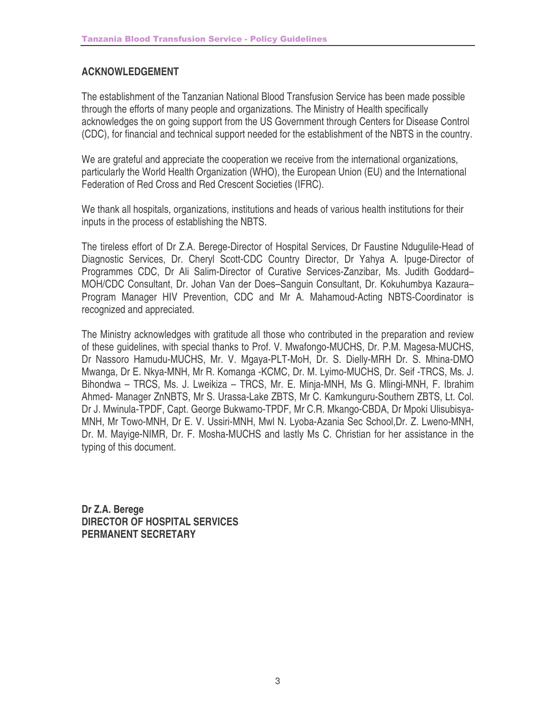### **ACKNOWLEDGEMENT**

The establishment of the Tanzanian National Blood Transfusion Service has been made possible through the efforts of many people and organizations. The Ministry of Health specifically acknowledges the on going support from the US Government through Centers for Disease Control (CDC), for financial and technical support needed for the establishment of the NBTS in the country.

We are grateful and appreciate the cooperation we receive from the international organizations, particularly the World Health Organization (WHO), the European Union (EU) and the International Federation of Red Cross and Red Crescent Societies (IFRC).

We thank all hospitals, organizations, institutions and heads of various health institutions for their inputs in the process of establishing the NBTS.

The tireless effort of Dr Z.A. Berege-Director of Hospital Services, Dr Faustine Ndugulile-Head of Diagnostic Services, Dr. Cheryl Scott-CDC Country Director, Dr Yahya A. Ipuge-Director of Programmes CDC, Dr Ali Salim-Director of Curative Services-Zanzibar, Ms. Judith Goddard– MOH/CDC Consultant, Dr. Johan Van der Does–Sanguin Consultant, Dr. Kokuhumbya Kazaura– Program Manager HIV Prevention, CDC and Mr A. Mahamoud-Acting NBTS-Coordinator is recognized and appreciated.

The Ministry acknowledges with gratitude all those who contributed in the preparation and review of these guidelines, with special thanks to Prof. V. Mwafongo-MUCHS, Dr. P.M. Magesa-MUCHS, Dr Nassoro Hamudu-MUCHS, Mr. V. Mgaya-PLT-MoH, Dr. S. Dielly-MRH Dr. S. Mhina-DMO Mwanga, Dr E. Nkya-MNH, Mr R. Komanga -KCMC, Dr. M. Lyimo-MUCHS, Dr. Seif -TRCS, Ms. J. Bihondwa – TRCS, Ms. J. Lweikiza – TRCS, Mr. E. Minja-MNH, Ms G. Mlingi-MNH, F. Ibrahim Ahmed- Manager ZnNBTS, Mr S. Urassa-Lake ZBTS, Mr C. Kamkunguru-Southern ZBTS, Lt. Col. Dr J. Mwinula-TPDF, Capt. George Bukwamo-TPDF, Mr C.R. Mkango-CBDA, Dr Mpoki Ulisubisya-MNH, Mr Towo-MNH, Dr E. V. Ussiri-MNH, Mwl N. Lyoba-Azania Sec School,Dr. Z. Lweno-MNH, Dr. M. Mayige-NIMR, Dr. F. Mosha-MUCHS and lastly Ms C. Christian for her assistance in the typing of this document.

**Dr Z.A. Berege DIRECTOR OF HOSPITAL SERVICES PERMANENT SECRETARY**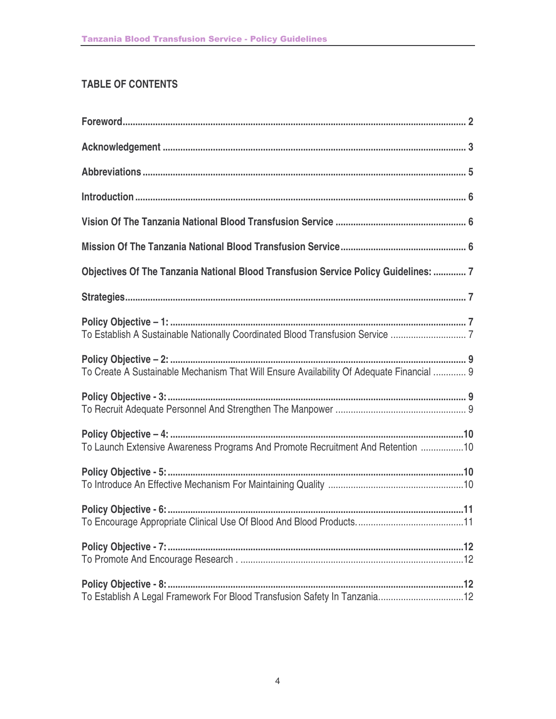## **TABLE OF CONTENTS**

| Objectives Of The Tanzania National Blood Transfusion Service Policy Guidelines:  7      |
|------------------------------------------------------------------------------------------|
|                                                                                          |
|                                                                                          |
| To Create A Sustainable Mechanism That Will Ensure Availability Of Adequate Financial  9 |
|                                                                                          |
| To Launch Extensive Awareness Programs And Promote Recruitment And Retention 10          |
|                                                                                          |
|                                                                                          |
|                                                                                          |
| To Establish A Legal Framework For Blood Transfusion Safety In Tanzania12                |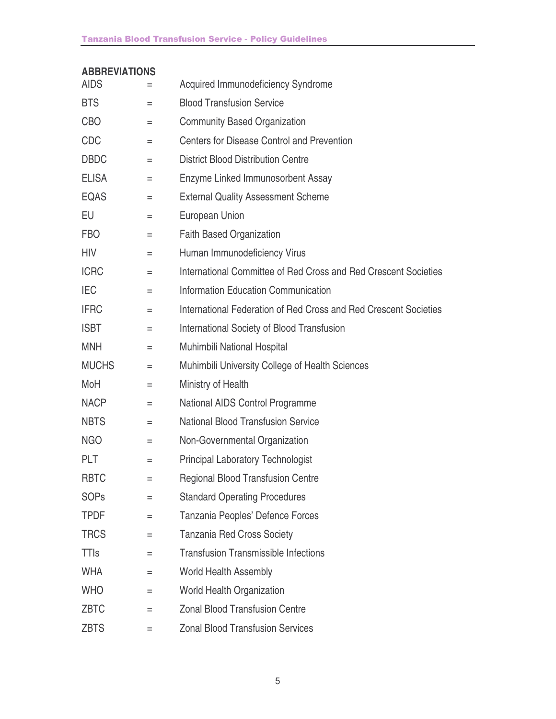#### **Tanzania Blood Transfusion Service - Policy Guidelines**

### **ABBREVIATIONS**

| <b>AIDS</b>  | $=$      | Acquired Immunodeficiency Syndrome                               |
|--------------|----------|------------------------------------------------------------------|
| <b>BTS</b>   | Ξ        | <b>Blood Transfusion Service</b>                                 |
| <b>CBO</b>   | Ξ        | <b>Community Based Organization</b>                              |
| <b>CDC</b>   | Ξ        | <b>Centers for Disease Control and Prevention</b>                |
| <b>DBDC</b>  | $=$      | <b>District Blood Distribution Centre</b>                        |
| <b>ELISA</b> | $\equiv$ | Enzyme Linked Immunosorbent Assay                                |
| <b>EQAS</b>  | $=$      | <b>External Quality Assessment Scheme</b>                        |
| EU           | Ξ        | <b>European Union</b>                                            |
| <b>FBO</b>   | $=$      | <b>Faith Based Organization</b>                                  |
| HIV          | Ξ        | Human Immunodeficiency Virus                                     |
| <b>ICRC</b>  | Ξ        | International Committee of Red Cross and Red Crescent Societies  |
| <b>IEC</b>   | Ξ        | <b>Information Education Communication</b>                       |
| <b>IFRC</b>  | $=$      | International Federation of Red Cross and Red Crescent Societies |
| <b>ISBT</b>  | $=$      | International Society of Blood Transfusion                       |
| <b>MNH</b>   | $=$      | Muhimbili National Hospital                                      |
| <b>MUCHS</b> | $=$      | Muhimbili University College of Health Sciences                  |
| MoH          | $=$      | Ministry of Health                                               |
| <b>NACP</b>  | $=$      | <b>National AIDS Control Programme</b>                           |
| <b>NBTS</b>  | Ξ        | <b>National Blood Transfusion Service</b>                        |
| <b>NGO</b>   | $=$      | Non-Governmental Organization                                    |
| <b>PLT</b>   | $=$      | <b>Principal Laboratory Technologist</b>                         |
| <b>RBTC</b>  | $=$      | <b>Regional Blood Transfusion Centre</b>                         |
| <b>SOPs</b>  | Ξ        | <b>Standard Operating Procedures</b>                             |
| TPDF         | $=$      | Tanzania Peoples' Defence Forces                                 |
| <b>TRCS</b>  | Ξ        | <b>Tanzania Red Cross Society</b>                                |
| <b>TTIs</b>  | $=$      | <b>Transfusion Transmissible Infections</b>                      |
| <b>WHA</b>   | Ξ        | <b>World Health Assembly</b>                                     |
| <b>WHO</b>   | $=$      | World Health Organization                                        |
| <b>ZBTC</b>  | $=$      | <b>Zonal Blood Transfusion Centre</b>                            |
| <b>ZBTS</b>  | =        | <b>Zonal Blood Transfusion Services</b>                          |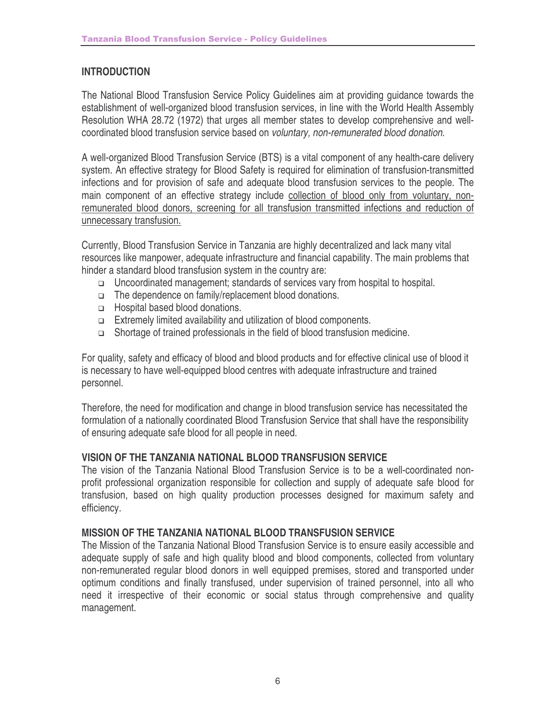#### **INTRODUCTION**

The National Blood Transfusion Service Policy Guidelines aim at providing guidance towards the establishment of well-organized blood transfusion services, in line with the World Health Assembly Resolution WHA 28.72 (1972) that urges all member states to develop comprehensive and wellcoordinated blood transfusion service based on *voluntary, non-remunerated blood donation.*

A well-organized Blood Transfusion Service (BTS) is a vital component of any health-care delivery system. An effective strategy for Blood Safety is required for elimination of transfusion-transmitted infections and for provision of safe and adequate blood transfusion services to the people. The main component of an effective strategy include collection of blood only from voluntary, nonremunerated blood donors, screening for all transfusion transmitted infections and reduction of unnecessary transfusion.

Currently, Blood Transfusion Service in Tanzania are highly decentralized and lack many vital resources like manpower, adequate infrastructure and financial capability. The main problems that hinder a standard blood transfusion system in the country are:

- □ Uncoordinated management; standards of services vary from hospital to hospital.
- The dependence on family/replacement blood donations.
- □ Hospital based blood donations.
- Extremely limited availability and utilization of blood components.
- □ Shortage of trained professionals in the field of blood transfusion medicine.

For quality, safety and efficacy of blood and blood products and for effective clinical use of blood it is necessary to have well-equipped blood centres with adequate infrastructure and trained personnel.

Therefore, the need for modification and change in blood transfusion service has necessitated the formulation of a nationally coordinated Blood Transfusion Service that shall have the responsibility of ensuring adequate safe blood for all people in need.

#### **VISION OF THE TANZANIA NATIONAL BLOOD TRANSFUSION SERVICE**

The vision of the Tanzania National Blood Transfusion Service is to be a well-coordinated nonprofit professional organization responsible for collection and supply of adequate safe blood for transfusion, based on high quality production processes designed for maximum safety and efficiency.

#### **MISSION OF THE TANZANIA NATIONAL BLOOD TRANSFUSION SERVICE**

The Mission of the Tanzania National Blood Transfusion Service is to ensure easily accessible and adequate supply of safe and high quality blood and blood components, collected from voluntary non-remunerated regular blood donors in well equipped premises, stored and transported under optimum conditions and finally transfused, under supervision of trained personnel, into all who need it irrespective of their economic or social status through comprehensive and quality management.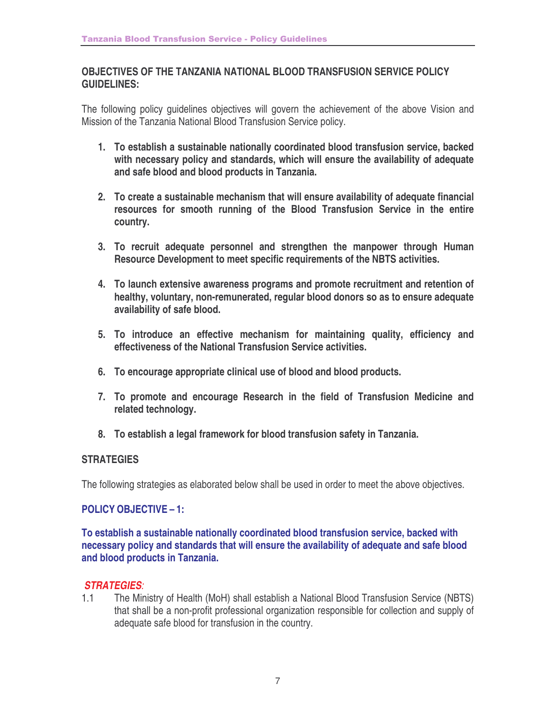#### **OBJECTIVES OF THE TANZANIA NATIONAL BLOOD TRANSFUSION SERVICE POLICY GUIDELINES:**

The following policy guidelines objectives will govern the achievement of the above Vision and Mission of the Tanzania National Blood Transfusion Service policy.

- **1. To establish a sustainable nationally coordinated blood transfusion service, backed with necessary policy and standards, which will ensure the availability of adequate and safe blood and blood products in Tanzania.**
- **2. To create a sustainable mechanism that will ensure availability of adequate financial resources for smooth running of the Blood Transfusion Service in the entire country.**
- **3. To recruit adequate personnel and strengthen the manpower through Human Resource Development to meet specific requirements of the NBTS activities.**
- **4. To launch extensive awareness programs and promote recruitment and retention of healthy, voluntary, non-remunerated, regular blood donors so as to ensure adequate availability of safe blood.**
- **5. To introduce an effective mechanism for maintaining quality, efficiency and effectiveness of the National Transfusion Service activities.**
- **6. To encourage appropriate clinical use of blood and blood products.**
- **7. To promote and encourage Research in the field of Transfusion Medicine and related technology.**
- **8. To establish a legal framework for blood transfusion safety in Tanzania.**

#### **STRATEGIES**

The following strategies as elaborated below shall be used in order to meet the above objectives.

#### **POLICY OBJECTIVE – 1:**

**To establish a sustainable nationally coordinated blood transfusion service, backed with necessary policy and standards that will ensure the availability of adequate and safe blood and blood products in Tanzania.**

#### *STRATEGIES:*

1.1 The Ministry of Health (MoH) shall establish a National Blood Transfusion Service (NBTS) that shall be a non-profit professional organization responsible for collection and supply of adequate safe blood for transfusion in the country.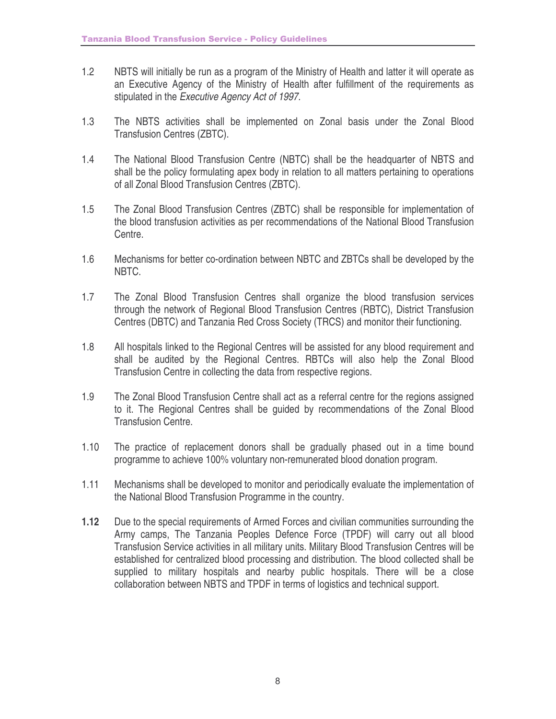- 1.2 NBTS will initially be run as a program of the Ministry of Health and latter it will operate as an Executive Agency of the Ministry of Health after fulfillment of the requirements as stipulated in the *Executive Agency Act of 1997.*
- 1.3 The NBTS activities shall be implemented on Zonal basis under the Zonal Blood Transfusion Centres (ZBTC).
- 1.4 The National Blood Transfusion Centre (NBTC) shall be the headquarter of NBTS and shall be the policy formulating apex body in relation to all matters pertaining to operations of all Zonal Blood Transfusion Centres (ZBTC).
- 1.5 The Zonal Blood Transfusion Centres (ZBTC) shall be responsible for implementation of the blood transfusion activities as per recommendations of the National Blood Transfusion Centre.
- 1.6 Mechanisms for better co-ordination between NBTC and ZBTCs shall be developed by the NBTC.
- 1.7 The Zonal Blood Transfusion Centres shall organize the blood transfusion services through the network of Regional Blood Transfusion Centres (RBTC), District Transfusion Centres (DBTC) and Tanzania Red Cross Society (TRCS) and monitor their functioning.
- 1.8 All hospitals linked to the Regional Centres will be assisted for any blood requirement and shall be audited by the Regional Centres. RBTCs will also help the Zonal Blood Transfusion Centre in collecting the data from respective regions.
- 1.9 The Zonal Blood Transfusion Centre shall act as a referral centre for the regions assigned to it. The Regional Centres shall be guided by recommendations of the Zonal Blood Transfusion Centre.
- 1.10 The practice of replacement donors shall be gradually phased out in a time bound programme to achieve 100% voluntary non-remunerated blood donation program.
- 1.11 Mechanisms shall be developed to monitor and periodically evaluate the implementation of the National Blood Transfusion Programme in the country.
- **1.12** Due to the special requirements of Armed Forces and civilian communities surrounding the Army camps, The Tanzania Peoples Defence Force (TPDF) will carry out all blood Transfusion Service activities in all military units. Military Blood Transfusion Centres will be established for centralized blood processing and distribution. The blood collected shall be supplied to military hospitals and nearby public hospitals. There will be a close collaboration between NBTS and TPDF in terms of logistics and technical support.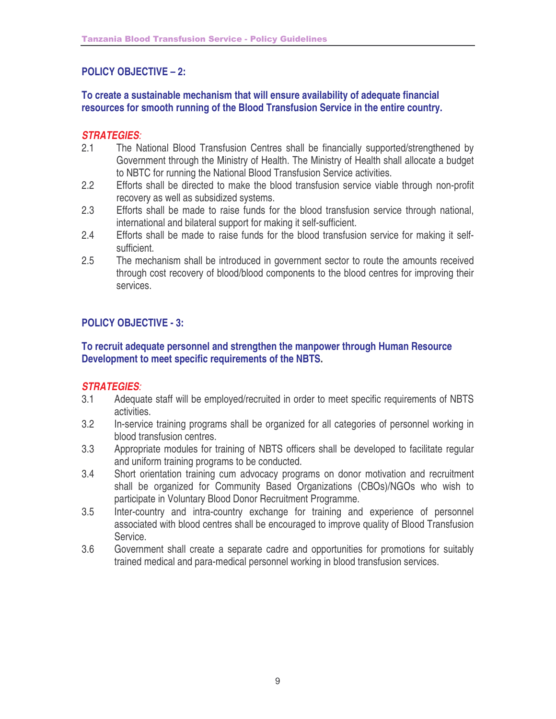## **POLICY OBJECTIVE – 2:**

#### **To create a sustainable mechanism that will ensure availability of adequate financial resources for smooth running of the Blood Transfusion Service in the entire country.**

#### *STRATEGIES:*

- 2.1 The National Blood Transfusion Centres shall be financially supported/strengthened by Government through the Ministry of Health. The Ministry of Health shall allocate a budget to NBTC for running the National Blood Transfusion Service activities.
- 2.2 Efforts shall be directed to make the blood transfusion service viable through non-profit recovery as well as subsidized systems.
- 2.3 Efforts shall be made to raise funds for the blood transfusion service through national, international and bilateral support for making it self-sufficient.
- 2.4 Efforts shall be made to raise funds for the blood transfusion service for making it selfsufficient.
- 2.5 The mechanism shall be introduced in government sector to route the amounts received through cost recovery of blood/blood components to the blood centres for improving their services.

## **POLICY OBJECTIVE - 3:**

#### **To recruit adequate personnel and strengthen the manpower through Human Resource Development to meet specific requirements of the NBTS.**

- 3.1 Adequate staff will be employed/recruited in order to meet specific requirements of NBTS activities.
- 3.2 In-service training programs shall be organized for all categories of personnel working in blood transfusion centres.
- 3.3 Appropriate modules for training of NBTS officers shall be developed to facilitate regular and uniform training programs to be conducted.
- 3.4 Short orientation training cum advocacy programs on donor motivation and recruitment shall be organized for Community Based Organizations (CBOs)/NGOs who wish to participate in Voluntary Blood Donor Recruitment Programme.
- 3.5 Inter-country and intra-country exchange for training and experience of personnel associated with blood centres shall be encouraged to improve quality of Blood Transfusion Service.
- 3.6 Government shall create a separate cadre and opportunities for promotions for suitably trained medical and para-medical personnel working in blood transfusion services.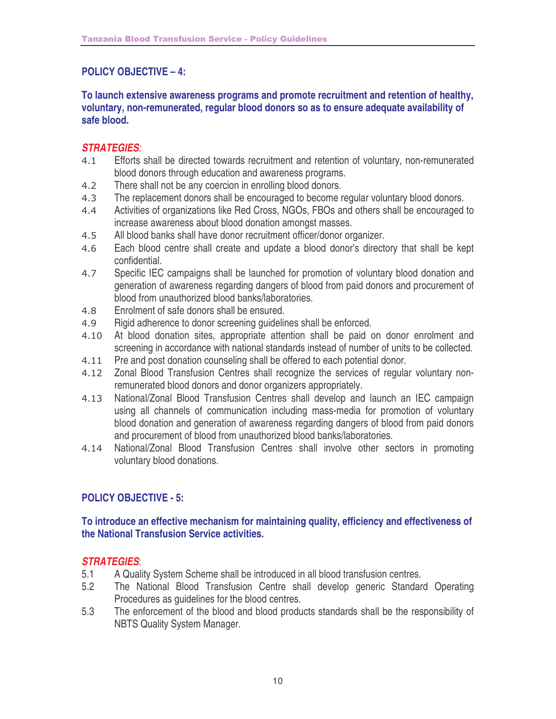## **POLICY OBJECTIVE – 4:**

**To launch extensive awareness programs and promote recruitment and retention of healthy, voluntary, non-remunerated, regular blood donors so as to ensure adequate availability of safe blood.**

## *STRATEGIES:*

- $4.1$  Efforts shall be directed towards recruitment and retention of voluntary, non-remunerated blood donors through education and awareness programs.
- $4.2$ There shall not be any coercion in enrolling blood donors.
- $4.3$ The replacement donors shall be encouraged to become regular voluntary blood donors.
- 4.4 Activities of organizations like Red Cross, NGOs, FBOs and others shall be encouraged to increase awareness about blood donation amongst masses.
- 4.5 All blood banks shall have donor recruitment officer/donor organizer.
- 4.6 Each blood centre shall create and update a blood donor's directory that shall be kept confidential.
- 4.7 Specific IEC campaigns shall be launched for promotion of voluntary blood donation and generation of awareness regarding dangers of blood from paid donors and procurement of blood from unauthorized blood banks/laboratories.
- 4.8 Enrolment of safe donors shall be ensured.
- 4.9 Rigid adherence to donor screening guidelines shall be enforced.
- 4.10 At blood donation sites, appropriate attention shall be paid on donor enrolment and screening in accordance with national standards instead of number of units to be collected.
- $4.11$ Pre and post donation counseling shall be offered to each potential donor.
- 4.12 Zonal Blood Transfusion Centres shall recognize the services of regular voluntary nonremunerated blood donors and donor organizers appropriately.
- 4.13 National/Zonal Blood Transfusion Centres shall develop and launch an IEC campaign using all channels of communication including mass-media for promotion of voluntary blood donation and generation of awareness regarding dangers of blood from paid donors and procurement of blood from unauthorized blood banks/laboratories.
- 4.14 National/Zonal Blood Transfusion Centres shall involve other sectors in promoting voluntary blood donations.

## **POLICY OBJECTIVE - 5:**

### **To introduce an effective mechanism for maintaining quality, efficiency and effectiveness of the National Transfusion Service activities.**

- 5.1 A Quality System Scheme shall be introduced in all blood transfusion centres.
- 5.2 The National Blood Transfusion Centre shall develop generic Standard Operating Procedures as guidelines for the blood centres.
- 5.3 The enforcement of the blood and blood products standards shall be the responsibility of NBTS Quality System Manager.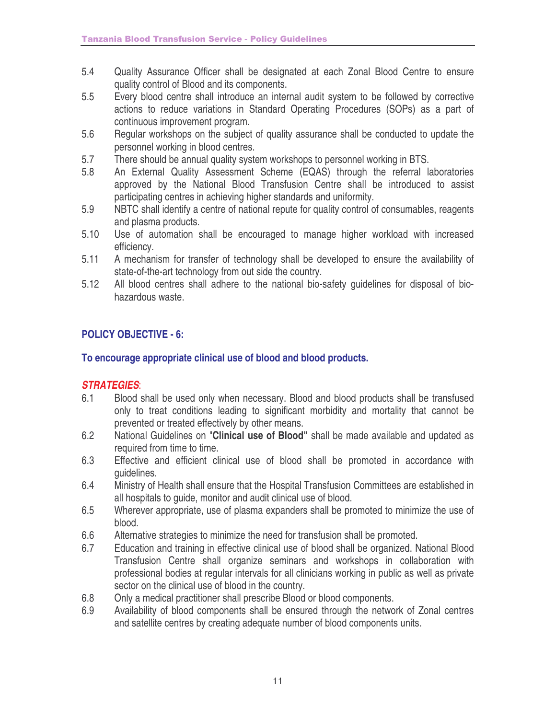- 5.4 Quality Assurance Officer shall be designated at each Zonal Blood Centre to ensure quality control of Blood and its components.
- 5.5 Every blood centre shall introduce an internal audit system to be followed by corrective actions to reduce variations in Standard Operating Procedures (SOPs) as a part of continuous improvement program.
- 5.6 Regular workshops on the subject of quality assurance shall be conducted to update the personnel working in blood centres.
- 5.7 There should be annual quality system workshops to personnel working in BTS.
- 5.8 An External Quality Assessment Scheme (EQAS) through the referral laboratories approved by the National Blood Transfusion Centre shall be introduced to assist participating centres in achieving higher standards and uniformity.
- 5.9 NBTC shall identify a centre of national repute for quality control of consumables, reagents and plasma products.
- 5.10 Use of automation shall be encouraged to manage higher workload with increased efficiency.
- 5.11 A mechanism for transfer of technology shall be developed to ensure the availability of state-of-the-art technology from out side the country.
- 5.12 All blood centres shall adhere to the national bio-safety guidelines for disposal of biohazardous waste.

## **POLICY OBJECTIVE - 6:**

### **To encourage appropriate clinical use of blood and blood products.**

- 6.1 Blood shall be used only when necessary. Blood and blood products shall be transfused only to treat conditions leading to significant morbidity and mortality that cannot be prevented or treated effectively by other means.
- 6.2 National Guidelines on "**Clinical use of Blood"** shall be made available and updated as required from time to time.
- 6.3 Effective and efficient clinical use of blood shall be promoted in accordance with guidelines.
- 6.4 Ministry of Health shall ensure that the Hospital Transfusion Committees are established in all hospitals to guide, monitor and audit clinical use of blood.
- 6.5 Wherever appropriate, use of plasma expanders shall be promoted to minimize the use of blood.
- 6.6 Alternative strategies to minimize the need for transfusion shall be promoted.
- 6.7 Education and training in effective clinical use of blood shall be organized. National Blood Transfusion Centre shall organize seminars and workshops in collaboration with professional bodies at regular intervals for all clinicians working in public as well as private sector on the clinical use of blood in the country.
- 6.8 Only a medical practitioner shall prescribe Blood or blood components.
- 6.9 Availability of blood components shall be ensured through the network of Zonal centres and satellite centres by creating adequate number of blood components units.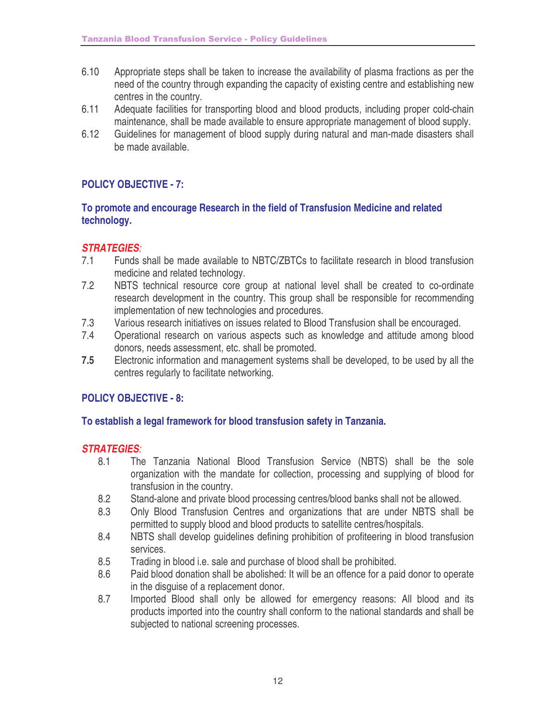- 6.10 Appropriate steps shall be taken to increase the availability of plasma fractions as per the need of the country through expanding the capacity of existing centre and establishing new centres in the country.
- 6.11 Adequate facilities for transporting blood and blood products, including proper cold-chain maintenance, shall be made available to ensure appropriate management of blood supply.
- 6.12 Guidelines for management of blood supply during natural and man-made disasters shall be made available.

## **POLICY OBJECTIVE - 7:**

#### **To promote and encourage Research in the field of Transfusion Medicine and related technology.**

#### *STRATEGIES:*

- 7.1 Funds shall be made available to NBTC/ZBTCs to facilitate research in blood transfusion medicine and related technology.
- 7.2 NBTS technical resource core group at national level shall be created to co-ordinate research development in the country. This group shall be responsible for recommending implementation of new technologies and procedures.
- 7.3 Various research initiatives on issues related to Blood Transfusion shall be encouraged.<br>7.4 Operational research on various aspects such as knowledge and attitude among blo
- 7.4 Operational research on various aspects such as knowledge and attitude among blood donors, needs assessment, etc. shall be promoted.
- **7.5** Electronic information and management systems shall be developed, to be used by all the centres regularly to facilitate networking.

#### **POLICY OBJECTIVE - 8:**

#### **To establish a legal framework for blood transfusion safety in Tanzania.**

- 8.1 The Tanzania National Blood Transfusion Service (NBTS) shall be the sole organization with the mandate for collection, processing and supplying of blood for transfusion in the country.
- 8.2 Stand-alone and private blood processing centres/blood banks shall not be allowed.
- 8.3 Only Blood Transfusion Centres and organizations that are under NBTS shall be permitted to supply blood and blood products to satellite centres/hospitals.
- 8.4 NBTS shall develop guidelines defining prohibition of profiteering in blood transfusion services.
- 8.5 Trading in blood i.e. sale and purchase of blood shall be prohibited.
- 8.6 Paid blood donation shall be abolished: It will be an offence for a paid donor to operate in the disguise of a replacement donor.
- 8.7 Imported Blood shall only be allowed for emergency reasons: All blood and its products imported into the country shall conform to the national standards and shall be subjected to national screening processes.